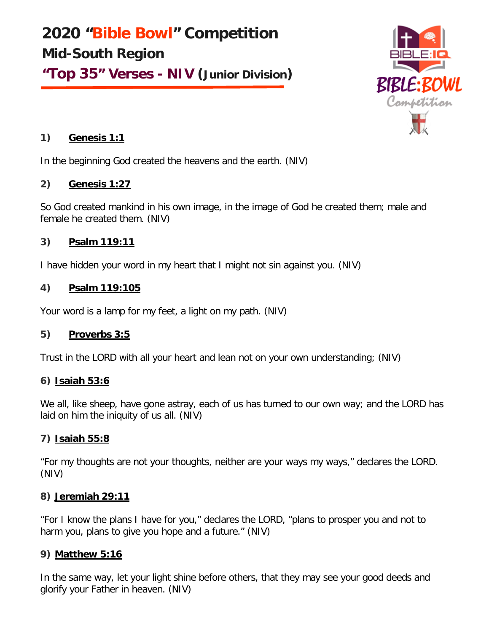**2020 "Bible Bowl" Competition Mid-South Region "Top 35" Verses - NIV (Junior Division)**



# **1) Genesis 1:1**

In the beginning God created the heavens and the earth. (NIV)

# **2) Genesis 1:27**

So God created mankind in his own image, in the image of God he created them; male and female he created them. (NIV)

# **3) Psalm 119:11**

I have hidden your word in my heart that I might not sin against you. (NIV)

# **4) Psalm 119:105**

Your word is a lamp for my feet, a light on my path. (NIV)

# **5) Proverbs 3:5**

Trust in the LORD with all your heart and lean not on your own understanding; (NIV)

# **6) Isaiah 53:6**

We all, like sheep, have gone astray, each of us has turned to our own way; and the LORD has laid on him the iniquity of us all. (NIV)

# **7) Isaiah 55:8**

"For my thoughts are not your thoughts, neither are your ways my ways," declares the LORD. (NIV)

# **8) Jeremiah 29:11**

"For I know the plans I have for you," declares the LORD, "plans to prosper you and not to harm you, plans to give you hope and a future." (NIV)

# **9) Matthew 5:16**

In the same way, let your light shine before others, that they may see your good deeds and glorify your Father in heaven. (NIV)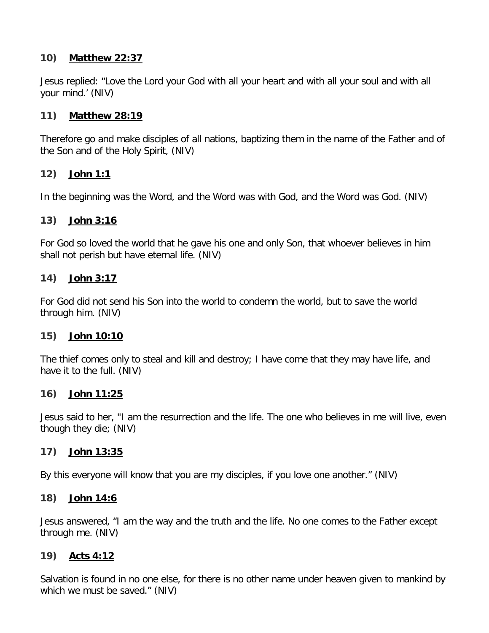# **10) Matthew 22:37**

Jesus replied: "Love the Lord your God with all your heart and with all your soul and with all your mind.' (NIV)

# **11) Matthew 28:19**

Therefore go and make disciples of all nations, baptizing them in the name of the Father and of the Son and of the Holy Spirit, (NIV)

# **12) John 1:1**

In the beginning was the Word, and the Word was with God, and the Word was God. (NIV)

# **13) John 3:16**

For God so loved the world that he gave his one and only Son, that whoever believes in him shall not perish but have eternal life. (NIV)

# **14) John 3:17**

For God did not send his Son into the world to condemn the world, but to save the world through him. (NIV)

# **15) John 10:10**

The thief comes only to steal and kill and destroy; I have come that they may have life, and have it to the full. (NIV)

# **16) John 11:25**

Jesus said to her, "I am the resurrection and the life. The one who believes in me will live, even though they die; (NIV)

# **17) John 13:35**

By this everyone will know that you are my disciples, if you love one another." (NIV)

# **18) John 14:6**

Jesus answered, "I am the way and the truth and the life. No one comes to the Father except through me. (NIV)

# **19) Acts 4:12**

Salvation is found in no one else, for there is no other name under heaven given to mankind by which we must be saved." (NIV)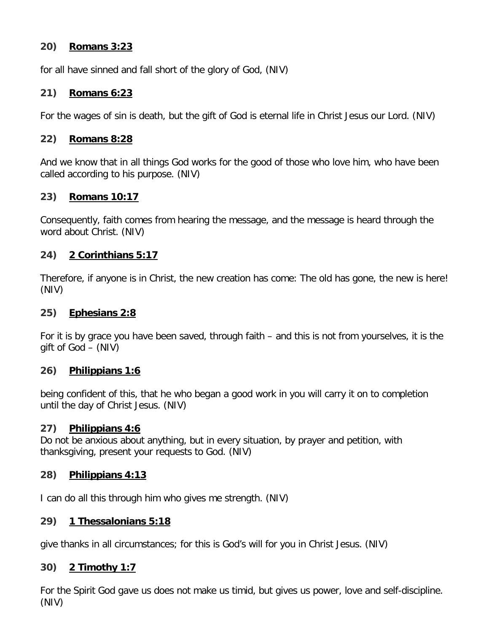## **20) Romans 3:23**

for all have sinned and fall short of the glory of God, (NIV)

## **21) Romans 6:23**

For the wages of sin is death, but the gift of God is eternal life in Christ Jesus our Lord. (NIV)

### **22) Romans 8:28**

And we know that in all things God works for the good of those who love him, who have been called according to his purpose. (NIV)

## **23) Romans 10:17**

Consequently, faith comes from hearing the message, and the message is heard through the word about Christ. (NIV)

## **24) 2 Corinthians 5:17**

Therefore, if anyone is in Christ, the new creation has come: The old has gone, the new is here! (NIV)

### **25) Ephesians 2:8**

For it is by grace you have been saved, through faith – and this is not from yourselves, it is the gift of God – (NIV)

### **26) Philippians 1:6**

being confident of this, that he who began a good work in you will carry it on to completion until the day of Christ Jesus. (NIV)

### **27) Philippians 4:6**

Do not be anxious about anything, but in every situation, by prayer and petition, with thanksgiving, present your requests to God. (NIV)

### **28) Philippians 4:13**

I can do all this through him who gives me strength. (NIV)

### **29) 1 Thessalonians 5:18**

give thanks in all circumstances; for this is God's will for you in Christ Jesus. (NIV)

### **30) 2 Timothy 1:7**

For the Spirit God gave us does not make us timid, but gives us power, love and self-discipline. (NIV)